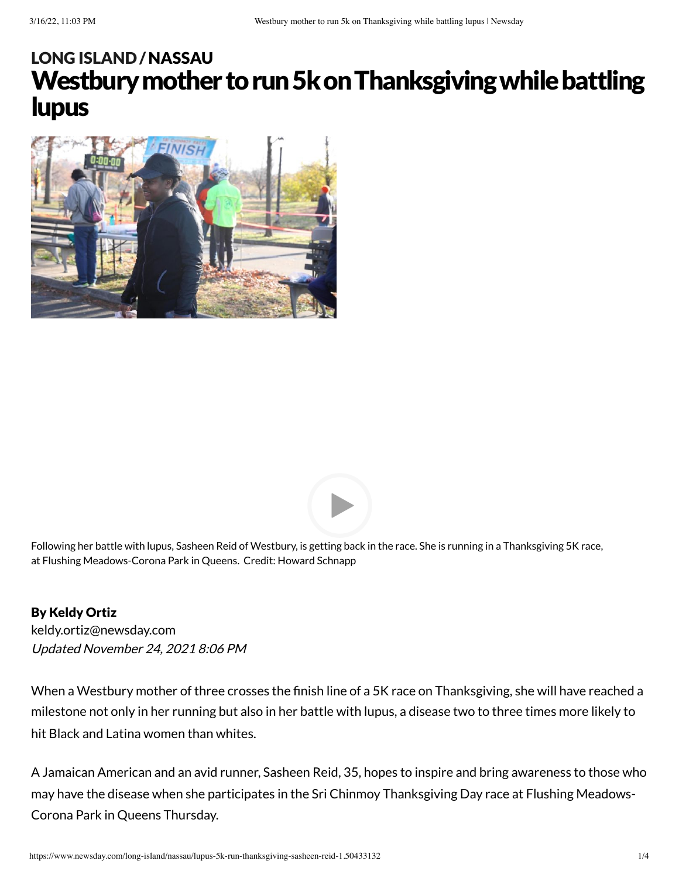# Westbury mother to run 5k on Thanksgiving while battling lupus LONG [ISLAND](https://www.newsday.com/long-island) /[NASSAU](https://www.newsday.com/long-island/nassau)





Following her battle with lupus, Sasheen Reid of Westbury, is getting back in the race. She is running in a Thanksgiving 5K race, at Flushing Meadows-Corona Park in Queens. Credit: Howard Schnapp

#### By Keldy Ortiz

Updated November 24, 2021 8:06 PM [keldy.ortiz@newsday.com](mailto:keldy.ortiz@newsday.com?subject=Westbury%20mother%20to%20run%205k%20on%20Thanksgiving%20while%20battling%20lupus&body=When%20a%20Westbury%20mother%20of%20three%20crosses%20the%20finish%20line%20of%20a%205K%20race%20on%20Thanksgiving,%20she%20will%20have%20reached%20a%20milestone%20not%20only%20in%20her%20running%20but%20also%20in%20her%20battle%20with%20lupus,%20a%20disease%20two%20to%20thre%0D%0Ahttps://www.newsday.com/long-island/nassau/lupus-5k-run-thanksgiving-sasheen-reid-1.50433132)

When a Westbury mother of three crosses the finish line of a 5K race on Thanksgiving, she will have reached a milestone not only in her running but also in her battle with lupus, a disease two to three times more likely to hit Black and Latina women than whites.

A Jamaican American and an avid runner, Sasheen Reid, 35, hopes to inspire and bring awareness to those who may have the disease when she participates in the Sri Chinmoy Thanksgiving Day race at Flushing Meadows-Corona Park in Queens Thursday.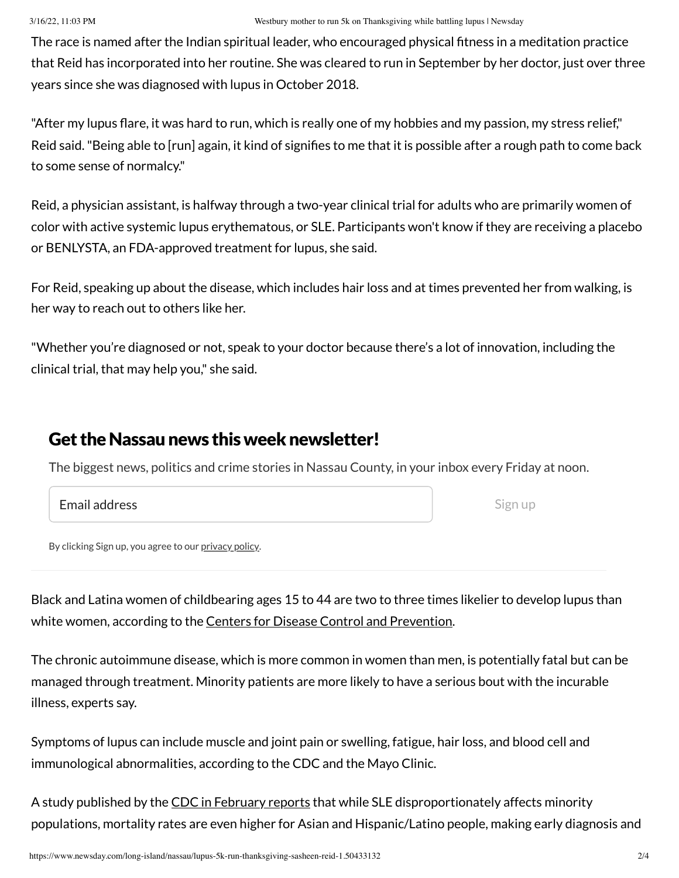The race is named after the Indian spiritual leader, who encouraged physical fitness in a meditation practice that Reid has incorporated into her routine. She was cleared to run in September by her doctor, just over three years since she was diagnosed with lupus in October 2018.

"After my lupus flare, it was hard to run, which is really one of my hobbies and my passion, my stress relief," Reid said."Being able to [run] again, it kind of signifies to me that it is possible after a rough path to come back to some sense of normalcy."

Reid, a physician assistant, is halfway through a two-year clinical trial for adults who are primarily women of color with active systemic lupus erythematous, or SLE. Participants won't know if they are receiving a placebo or BENLYSTA, an FDA-approved treatment for lupus, she said.

For Reid, speaking up about the disease, which includes hair loss and at times prevented her from walking, is her way to reach out to others like her.

"Whether you're diagnosed or not, speak to your doctor because there's a lot of innovation, including the clinical trial, that may help you," she said.

### Get the Nassau news this week newsletter!

The biggest news, politics and crime stories in Nassau County, in your inbox every Friday at noon.

#### Email address

Sign up

By clicking Sign up, you agree to our [privacy](https://www.newsday.com/privacy) policy.

Black and Latina women of childbearing ages 15 to 44 are two to three times likelier to develop lupus than white women, according to the **Centers for Disease Control [and Prevention](https://www.cdc.gov/lupus/features/lupus-awareness/index.htm)**.

The chronic autoimmune disease, which is more common in women than men, is potentially fatal but can be managed through treatment. Minority patients are more likely to have a serious bout with the incurable illness, experts say.

Symptoms of lupus can include muscle and joint pain or swelling, fatigue, hair loss, and blood cell and immunological abnormalities, according to the CDC and the Mayo Clinic.

A study published by the CDC in [February](https://www.cdc.gov/mmwr/volumes/70/wr/mm7007a2.htm) reports that while SLE disproportionately affects minority populations, mortality rates are even higher for Asian and Hispanic/Latino people, making early diagnosis and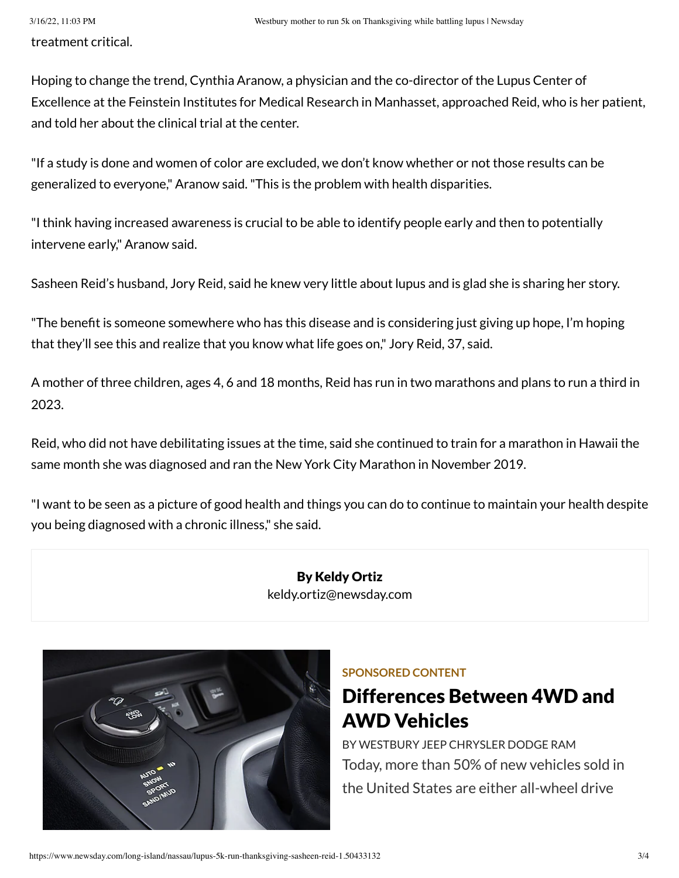treatment critical.

Hoping to change the trend, Cynthia Aranow, a physician and the co-director of the Lupus Center of Excellence at the Feinstein Institutes for Medical Research in Manhasset, approached Reid, who is her patient, and told her about the clinical trial at the center.

"If a study is done and women of color are excluded, we don't know whether or not those results can be generalized to everyone," Aranow said."This is the problem with health disparities.

"I think having increased awareness is crucial to be able to identify people early and then to potentially intervene early," Aranow said.

Sasheen Reid's husband, Jory Reid, said he knew very little about lupus and is glad she is sharing her story.

"The benefit is someone somewhere who has this disease and is considering just giving up hope, I'm hoping that they'll see this and realize that you know what life goes on," Jory Reid, 37, said.

A mother of three children, ages 4, 6 and 18 months, Reid has run in two marathons and plans to run a third in 2023.

Reid, who did not have debilitating issues at the time, said she continued to train for a marathon in Hawaii the same month she was diagnosed and ran the New York City Marathon in November 2019.

"I want to be seen as a picture of good health and things you can do to continue to maintain your health despite you being diagnosed with a chronic illness," she said.

> By Keldy Ortiz [keldy.ortiz@newsday.com](mailto:keldy.ortiz@newsday.com?subject=Westbury%20mother%20to%20run%205k%20on%20Thanksgiving%20while%20battling%20lupus&body=When%20a%20Westbury%20mother%20of%20three%20crosses%20the%20finish%20line%20of%20a%205K%20race%20on%20Thanksgiving,%20she%20will%20have%20reached%20a%20milestone%20not%20only%20in%20her%20running%20but%20also%20in%20her%20battle%20with%20lupus,%20a%20disease%20two%20to%20thre%0D%0Ahttps://www.newsday.com/long-island/nassau/lupus-5k-run-thanksgiving-sasheen-reid-1.50433132)



#### **SPONSORED CONTENT**

## Differences [Between 4WD](https://www.newsday.com/services/sponsored-content/promoted-1.8594397?prx_t=D08HAUeFSAhrALA&ntv_acpl=766086&ntv_acsc=2&ntv_oc=209&ntv_gsscm=550*32;&ntv_ht=46QyYgA&ntv_fr) and AWD Vehicles

BY [WESTBURY](https://www.newsday.com/services/sponsored-content/promoted-1.8594397?prx_t=D08HAUeFSAhrALA&ntv_acpl=766086&ntv_acsc=2&ntv_oc=209&ntv_gsscm=550*32;&ntv_ht=46QyYgA&ntv_fr) JEEP CHRYSLER DODGE RAM Today, more than 50% of new vehicles sold in the United States are either all-wheel drive